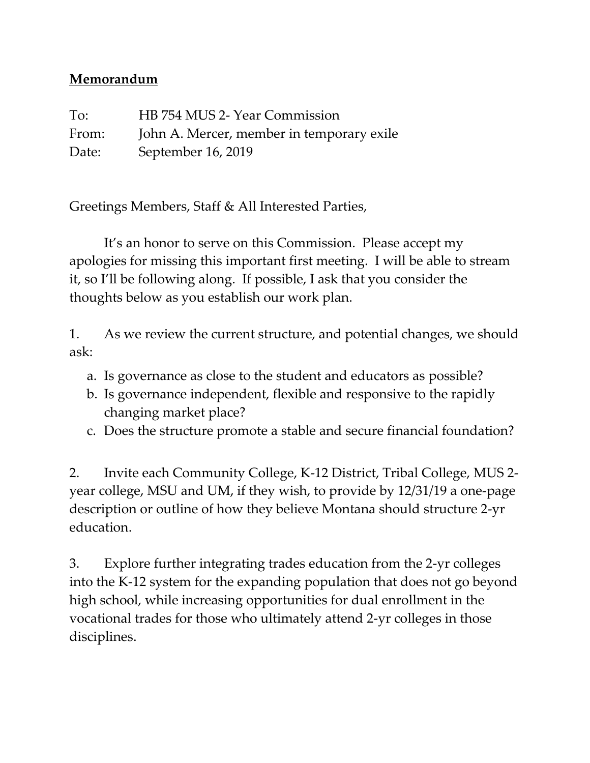## **Memorandum**

To: HB 754 MUS 2- Year Commission From: John A. Mercer, member in temporary exile Date: September 16, 2019

Greetings Members, Staff & All Interested Parties,

It's an honor to serve on this Commission. Please accept my apologies for missing this important first meeting. I will be able to stream it, so I'll be following along. If possible, I ask that you consider the thoughts below as you establish our work plan.

1. As we review the current structure, and potential changes, we should ask:

- a. Is governance as close to the student and educators as possible?
- b. Is governance independent, flexible and responsive to the rapidly changing market place?
- c. Does the structure promote a stable and secure financial foundation?

2. Invite each Community College, K-12 District, Tribal College, MUS 2 year college, MSU and UM, if they wish, to provide by 12/31/19 a one-page description or outline of how they believe Montana should structure 2-yr education.

3. Explore further integrating trades education from the 2-yr colleges into the K-12 system for the expanding population that does not go beyond high school, while increasing opportunities for dual enrollment in the vocational trades for those who ultimately attend 2-yr colleges in those disciplines.